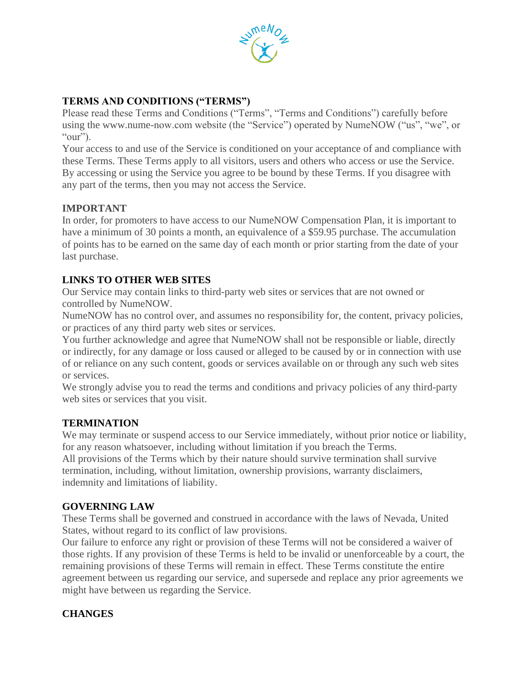

## **TERMS AND CONDITIONS ("TERMS")**

Please read these Terms and Conditions ("Terms", "Terms and Conditions") carefully before using the www.nume-now.com website (the "Service") operated by NumeNOW ("us", "we", or "our").

Your access to and use of the Service is conditioned on your acceptance of and compliance with these Terms. These Terms apply to all visitors, users and others who access or use the Service. By accessing or using the Service you agree to be bound by these Terms. If you disagree with any part of the terms, then you may not access the Service.

### **IMPORTANT**

In order, for promoters to have access to our NumeNOW Compensation Plan, it is important to have a minimum of 30 points a month, an equivalence of a \$59.95 purchase. The accumulation of points has to be earned on the same day of each month or prior starting from the date of your last purchase.

# **LINKS TO OTHER WEB SITES**

Our Service may contain links to third-party web sites or services that are not owned or controlled by NumeNOW.

NumeNOW has no control over, and assumes no responsibility for, the content, privacy policies, or practices of any third party web sites or services.

You further acknowledge and agree that NumeNOW shall not be responsible or liable, directly or indirectly, for any damage or loss caused or alleged to be caused by or in connection with use of or reliance on any such content, goods or services available on or through any such web sites or services.

We strongly advise you to read the terms and conditions and privacy policies of any third-party web sites or services that you visit.

### **TERMINATION**

We may terminate or suspend access to our Service immediately, without prior notice or liability, for any reason whatsoever, including without limitation if you breach the Terms.

All provisions of the Terms which by their nature should survive termination shall survive termination, including, without limitation, ownership provisions, warranty disclaimers, indemnity and limitations of liability.

### **GOVERNING LAW**

These Terms shall be governed and construed in accordance with the laws of Nevada, United States, without regard to its conflict of law provisions.

Our failure to enforce any right or provision of these Terms will not be considered a waiver of those rights. If any provision of these Terms is held to be invalid or unenforceable by a court, the remaining provisions of these Terms will remain in effect. These Terms constitute the entire agreement between us regarding our service, and supersede and replace any prior agreements we might have between us regarding the Service.

### **CHANGES**